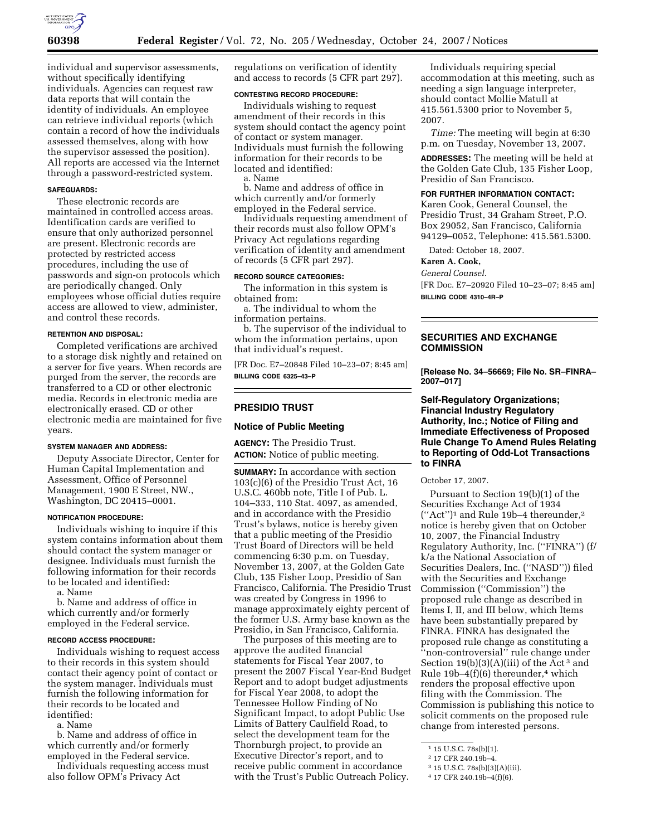

individual and supervisor assessments, without specifically identifying individuals. Agencies can request raw data reports that will contain the identity of individuals. An employee can retrieve individual reports (which contain a record of how the individuals assessed themselves, along with how the supervisor assessed the position). All reports are accessed via the Internet through a password-restricted system.

#### **SAFEGUARDS:**

These electronic records are maintained in controlled access areas. Identification cards are verified to ensure that only authorized personnel are present. Electronic records are protected by restricted access procedures, including the use of passwords and sign-on protocols which are periodically changed. Only employees whose official duties require access are allowed to view, administer, and control these records.

#### **RETENTION AND DISPOSAL:**

Completed verifications are archived to a storage disk nightly and retained on a server for five years. When records are purged from the server, the records are transferred to a CD or other electronic media. Records in electronic media are electronically erased. CD or other electronic media are maintained for five years.

#### **SYSTEM MANAGER AND ADDRESS:**

Deputy Associate Director, Center for Human Capital Implementation and Assessment, Office of Personnel Management, 1900 E Street, NW., Washington, DC 20415–0001.

#### **NOTIFICATION PROCEDURE:**

Individuals wishing to inquire if this system contains information about them should contact the system manager or designee. Individuals must furnish the following information for their records to be located and identified:

a. Name

b. Name and address of office in which currently and/or formerly employed in the Federal service.

#### **RECORD ACCESS PROCEDURE:**

Individuals wishing to request access to their records in this system should contact their agency point of contact or the system manager. Individuals must furnish the following information for their records to be located and identified:

a. Name

b. Name and address of office in which currently and/or formerly employed in the Federal service.

Individuals requesting access must also follow OPM's Privacy Act

regulations on verification of identity and access to records (5 CFR part 297).

#### **CONTESTING RECORD PROCEDURE:**

Individuals wishing to request amendment of their records in this system should contact the agency point of contact or system manager. Individuals must furnish the following information for their records to be located and identified:

a. Name

b. Name and address of office in which currently and/or formerly employed in the Federal service.

Individuals requesting amendment of their records must also follow OPM's Privacy Act regulations regarding verification of identity and amendment of records (5 CFR part 297).

#### **RECORD SOURCE CATEGORIES:**

The information in this system is obtained from:

a. The individual to whom the information pertains.

b. The supervisor of the individual to whom the information pertains, upon that individual's request.

[FR Doc. E7–20848 Filed 10–23–07; 8:45 am] **BILLING CODE 6325–43–P** 

# **PRESIDIO TRUST**

#### **Notice of Public Meeting**

**AGENCY:** The Presidio Trust. **ACTION:** Notice of public meeting.

**SUMMARY:** In accordance with section 103(c)(6) of the Presidio Trust Act, 16 U.S.C. 460bb note, Title I of Pub. L. 104–333, 110 Stat. 4097, as amended, and in accordance with the Presidio Trust's bylaws, notice is hereby given that a public meeting of the Presidio Trust Board of Directors will be held commencing 6:30 p.m. on Tuesday, November 13, 2007, at the Golden Gate Club, 135 Fisher Loop, Presidio of San Francisco, California. The Presidio Trust was created by Congress in 1996 to manage approximately eighty percent of the former U.S. Army base known as the Presidio, in San Francisco, California.

The purposes of this meeting are to approve the audited financial statements for Fiscal Year 2007, to present the 2007 Fiscal Year-End Budget Report and to adopt budget adjustments for Fiscal Year 2008, to adopt the Tennessee Hollow Finding of No Significant Impact, to adopt Public Use Limits of Battery Caulfield Road, to select the development team for the Thornburgh project, to provide an Executive Director's report, and to receive public comment in accordance with the Trust's Public Outreach Policy.

Individuals requiring special accommodation at this meeting, such as needing a sign language interpreter, should contact Mollie Matull at 415.561.5300 prior to November 5, 2007.

*Time:* The meeting will begin at 6:30 p.m. on Tuesday, November 13, 2007.

**ADDRESSES:** The meeting will be held at the Golden Gate Club, 135 Fisher Loop, Presidio of San Francisco.

#### **FOR FURTHER INFORMATION CONTACT:**

Karen Cook, General Counsel, the Presidio Trust, 34 Graham Street, P.O. Box 29052, San Francisco, California 94129–0052, Telephone: 415.561.5300.

Dated: October 18, 2007.

# **Karen A. Cook,**

*General Counsel.* 

[FR Doc. E7–20920 Filed 10–23–07; 8:45 am] **BILLING CODE 4310–4R–P** 

# **SECURITIES AND EXCHANGE COMMISSION**

**[Release No. 34–56669; File No. SR–FINRA– 2007–017]** 

# **Self-Regulatory Organizations; Financial Industry Regulatory Authority, Inc.; Notice of Filing and Immediate Effectiveness of Proposed Rule Change To Amend Rules Relating to Reporting of Odd-Lot Transactions to FINRA**

October 17, 2007.

Pursuant to Section 19(b)(1) of the Securities Exchange Act of 1934 (''Act'')1 and Rule 19b–4 thereunder,2 notice is hereby given that on October 10, 2007, the Financial Industry Regulatory Authority, Inc. (''FINRA'') (f/ k/a the National Association of Securities Dealers, Inc. (''NASD'')) filed with the Securities and Exchange Commission (''Commission'') the proposed rule change as described in Items I, II, and III below, which Items have been substantially prepared by FINRA. FINRA has designated the proposed rule change as constituting a ''non-controversial'' rule change under Section  $19(b)(3)(A)(iii)$  of the Act<sup>3</sup> and Rule 19b–4 $(f)(6)$  thereunder,<sup>4</sup> which renders the proposal effective upon filing with the Commission. The Commission is publishing this notice to solicit comments on the proposed rule change from interested persons.

<sup>1</sup> 15 U.S.C. 78s(b)(1).

<sup>2</sup> 17 CFR 240.19b–4.

<sup>3</sup> 15 U.S.C. 78s(b)(3)(A)(iii).

<sup>4</sup> 17 CFR 240.19b–4(f)(6).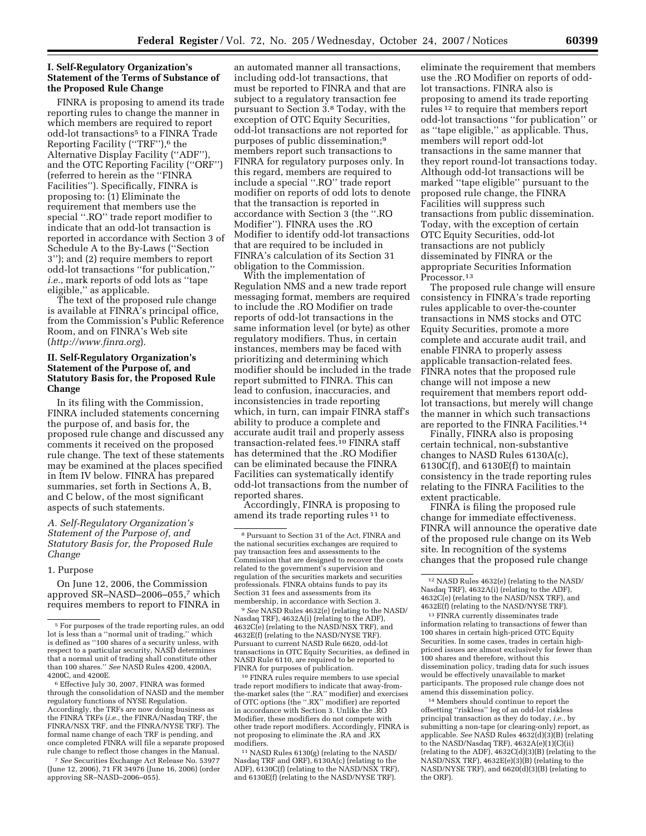## **I. Self-Regulatory Organization's Statement of the Terms of Substance of the Proposed Rule Change**

FINRA is proposing to amend its trade reporting rules to change the manner in which members are required to report odd-lot transactions<sup>5</sup> to a FINRA Trade Reporting Facility ("TRF"),<sup>6</sup> the Alternative Display Facility (''ADF''), and the OTC Reporting Facility (''ORF'') (referred to herein as the ''FINRA Facilities''). Specifically, FINRA is proposing to: (1) Eliminate the requirement that members use the special ''.RO'' trade report modifier to indicate that an odd-lot transaction is reported in accordance with Section 3 of Schedule A to the By-Laws (''Section 3''); and (2) require members to report odd-lot transactions ''for publication,'' *i.e.*, mark reports of odd lots as ''tape eligible,'' as applicable.

The text of the proposed rule change is available at FINRA's principal office, from the Commission's Public Reference Room, and on FINRA's Web site (*http://www.finra.org*).

## **II. Self-Regulatory Organization's Statement of the Purpose of, and Statutory Basis for, the Proposed Rule Change**

In its filing with the Commission, FINRA included statements concerning the purpose of, and basis for, the proposed rule change and discussed any comments it received on the proposed rule change. The text of these statements may be examined at the places specified in Item IV below. FINRA has prepared summaries, set forth in Sections A, B, and C below, of the most significant aspects of such statements.

## *A. Self-Regulatory Organization's Statement of the Purpose of, and Statutory Basis for, the Proposed Rule Change*

#### 1. Purpose

On June 12, 2006, the Commission approved SR–NASD–2006–055,7 which requires members to report to FINRA in

<sup>6</sup> Effective July 30, 2007, FINRA was formed through the consolidation of NASD and the member regulatory functions of NYSE Regulation. Accordingly, the TRFs are now doing business as the FINRA TRFs (*i.e.*, the FINRA/Nasdaq TRF, the FINRA/NSX TRF, and the FINRA/NYSE TRF). The formal name change of each TRF is pending, and once completed FINRA will file a separate proposed rule change to reflect those changes in the Manual.

7 *See* Securities Exchange Act Release No. 53977 (June 12, 2006), 71 FR 34976 (June 16, 2006) (order approving SR–NASD–2006–055).

an automated manner all transactions, including odd-lot transactions, that must be reported to FINRA and that are subject to a regulatory transaction fee pursuant to Section 3.8 Today, with the exception of OTC Equity Securities, odd-lot transactions are not reported for purposes of public dissemination;9 members report such transactions to FINRA for regulatory purposes only. In this regard, members are required to include a special ''.RO'' trade report modifier on reports of odd lots to denote that the transaction is reported in accordance with Section 3 (the ''.RO Modifier''). FINRA uses the .RO Modifier to identify odd-lot transactions that are required to be included in FINRA's calculation of its Section 31 obligation to the Commission.

With the implementation of Regulation NMS and a new trade report messaging format, members are required to include the .RO Modifier on trade reports of odd-lot transactions in the same information level (or byte) as other regulatory modifiers. Thus, in certain instances, members may be faced with prioritizing and determining which modifier should be included in the trade report submitted to FINRA. This can lead to confusion, inaccuracies, and inconsistencies in trade reporting which, in turn, can impair FINRA staff's ability to produce a complete and accurate audit trail and properly assess transaction-related fees.10 FINRA staff has determined that the .RO Modifier can be eliminated because the FINRA Facilities can systematically identify odd-lot transactions from the number of reported shares.

Accordingly, FINRA is proposing to amend its trade reporting rules 11 to

Nasdaq TRF), 4632A(i) (relating to the ADF), 4632C(e) (relating to the NASD/NSX TRF), and 4632E(f) (relating to the NASD/NYSE TRF). Pursuant to current NASD Rule 6620, odd-lot transactions in OTC Equity Securities, as defined in NASD Rule 6110, are required to be reported to

<sup>10</sup> FINRA rules require members to use special trade report modifiers to indicate that away-fromthe-market sales (the ''.RA'' modifier) and exercises of OTC options (the ''.RX'' modifier) are reported in accordance with Section 3. Unlike the .RO Modifier, these modifiers do not compete with other trade report modifiers. Accordingly, FINRA is not proposing to eliminate the .RA and .RX

 $11$  NASD Rules  $6130(g)$  (relating to the NASD/ Nasdaq TRF and ORF), 6130A(c) (relating to the ADF), 6130C(f) (relating to the NASD/NSX TRF), and 6130E(f) (relating to the NASD/NYSE TRF).

eliminate the requirement that members use the .RO Modifier on reports of oddlot transactions. FINRA also is proposing to amend its trade reporting rules 12 to require that members report odd-lot transactions ''for publication'' or as ''tape eligible,'' as applicable. Thus, members will report odd-lot transactions in the same manner that they report round-lot transactions today. Although odd-lot transactions will be marked ''tape eligible'' pursuant to the proposed rule change, the FINRA Facilities will suppress such transactions from public dissemination. Today, with the exception of certain OTC Equity Securities, odd-lot transactions are not publicly disseminated by FINRA or the appropriate Securities Information Processor.<sup>13</sup>

The proposed rule change will ensure consistency in FINRA's trade reporting rules applicable to over-the-counter transactions in NMS stocks and OTC Equity Securities, promote a more complete and accurate audit trail, and enable FINRA to properly assess applicable transaction-related fees. FINRA notes that the proposed rule change will not impose a new requirement that members report oddlot transactions, but merely will change the manner in which such transactions are reported to the FINRA Facilities.14

Finally, FINRA also is proposing certain technical, non-substantive changes to NASD Rules 6130A(c), 6130C(f), and 6130E(f) to maintain consistency in the trade reporting rules relating to the FINRA Facilities to the extent practicable.

FINRA is filing the proposed rule change for immediate effectiveness. FINRA will announce the operative date of the proposed rule change on its Web site. In recognition of the systems changes that the proposed rule change

13 FINRA currently disseminates trade information relating to transactions of fewer than 100 shares in certain high-priced OTC Equity Securities. In some cases, trades in certain highpriced issues are almost exclusively for fewer than 100 shares and therefore, without this dissemination policy, trading data for such issues would be effectively unavailable to market participants. The proposed rule change does not amend this dissemination policy.

14 Members should continue to report the offsetting ''riskless'' leg of an odd-lot riskless principal transaction as they do today, *i.e.*, by submitting a non-tape (or clearing-only) report, as applicable. *See* NASD Rules 4632(d)(3)(B) (relating to the NASD/Nasdaq TRF), 4632A(e)(1)(C)(ii) (relating to the ADF),  $4632C(d)(3)(B)$  (relating to the NASD/NSX TRF), 4632E(e)(3)(B) (relating to the NASD/NYSE TRF), and 6620(d)(3)(B) (relating to the ORF).

 $^{\rm 5}$  For purposes of the trade reporting rules, an odd lot is less than a ''normal unit of trading,'' which is defined as ''100 shares of a security unless, with respect to a particular security, NASD determines that a normal unit of trading shall constitute other than 100 shares.'' *See* NASD Rules 4200, 4200A,

<sup>8</sup> Pursuant to Section 31 of the Act, FINRA and the national securities exchanges are required to pay transaction fees and assessments to the Commission that are designed to recover the costs related to the government's supervision and regulation of the securities markets and securities professionals. FINRA obtains funds to pay its Section 31 fees and assessments from its membership, in accordance with Section 3.<br><sup>9</sup> *See* NASD Rules 4632(e) (relating to the NASD/

<sup>12</sup> NASD Rules 4632(e) (relating to the NASD/ Nasdaq TRF), 4632A(i) (relating to the ADF), 4632C(e) (relating to the NASD/NSX TRF), and 4632E(f) (relating to the NASD/NYSE TRF).